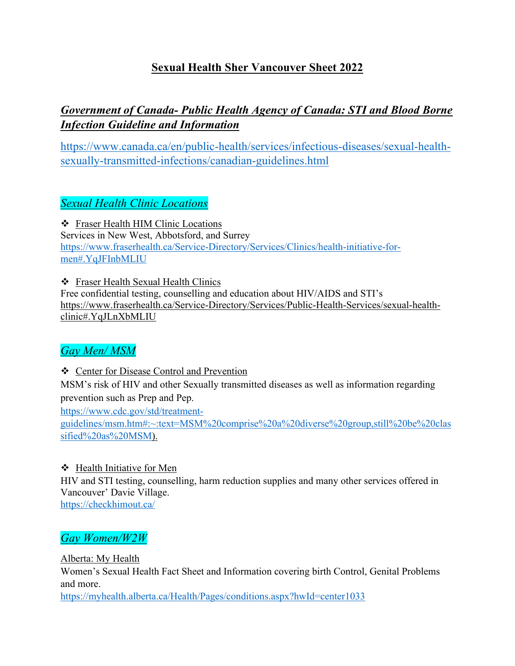# **Sexual Health Sher Vancouver Sheet 2022**

# *Government of Canada- Public Health Agency of Canada: STI and Blood Borne Infection Guideline and Information*

https://www.canada.ca/en/public-health/services/infectious-diseases/sexual-healthsexually-transmitted-infections/canadian-guidelines.html

## *Sexual Health Clinic Locations*

v Fraser Health HIM Clinic Locations Services in New West, Abbotsford, and Surrey https://www.fraserhealth.ca/Service-Directory/Services/Clinics/health-initiative-formen#.YqJFInbMLIU

v Fraser Health Sexual Health Clinics Free confidential testing, counselling and education about HIV/AIDS and STI's https://www.fraserhealth.ca/Service-Directory/Services/Public-Health-Services/sexual-healthclinic#.YqJLnXbMLIU

## *Gay Men/ MSM*

v Center for Disease Control and Prevention

MSM's risk of HIV and other Sexually transmitted diseases as well as information regarding prevention such as Prep and Pep.

https://www.cdc.gov/std/treatment-

guidelines/msm.htm#:~:text=MSM%20comprise%20a%20diverse%20group,still%20be%20clas sified%20as%20MSM).

### v Health Initiative for Men

HIV and STI testing, counselling, harm reduction supplies and many other services offered in Vancouver' Davie Village. https://checkhimout.ca/

## *Gay Women/W2W*

Alberta: My Health

Women's Sexual Health Fact Sheet and Information covering birth Control, Genital Problems and more.

https://myhealth.alberta.ca/Health/Pages/conditions.aspx?hwId=center1033